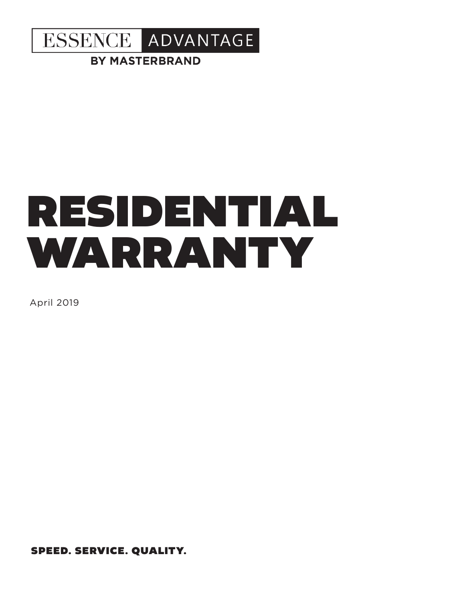

**BY MASTERBRAND** 

# RESIDENTIAL WARRANTY

April 2019

SPEED. SERVICE. QUALITY.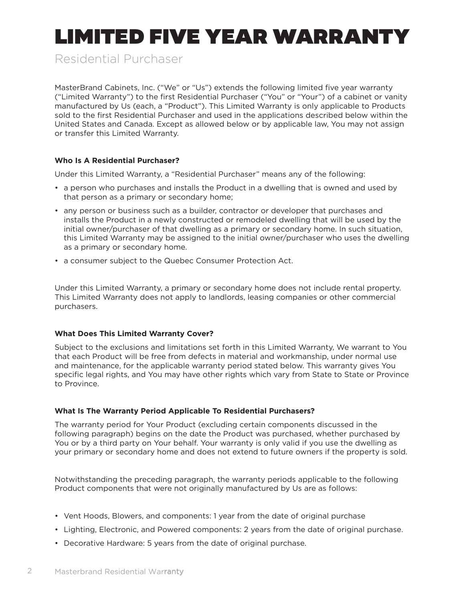# LIMITED FIVE YEAR WARRANTY

Residential Purchaser

MasterBrand Cabinets, Inc. ("We" or "Us") extends the following limited five year warranty ("Limited Warranty") to the first Residential Purchaser ("You" or "Your") of a cabinet or vanity manufactured by Us (each, a "Product"). This Limited Warranty is only applicable to Products sold to the first Residential Purchaser and used in the applications described below within the United States and Canada. Except as allowed below or by applicable law, You may not assign or transfer this Limited Warranty.

# **Who Is A Residential Purchaser?**

Under this Limited Warranty, a "Residential Purchaser" means any of the following:

- a person who purchases and installs the Product in a dwelling that is owned and used by that person as a primary or secondary home;
- any person or business such as a builder, contractor or developer that purchases and installs the Product in a newly constructed or remodeled dwelling that will be used by the initial owner/purchaser of that dwelling as a primary or secondary home. In such situation, this Limited Warranty may be assigned to the initial owner/purchaser who uses the dwelling as a primary or secondary home.
- a consumer subject to the Quebec Consumer Protection Act.

Under this Limited Warranty, a primary or secondary home does not include rental property. This Limited Warranty does not apply to landlords, leasing companies or other commercial purchasers.

# **What Does This Limited Warranty Cover?**

Subject to the exclusions and limitations set forth in this Limited Warranty, We warrant to You that each Product will be free from defects in material and workmanship, under normal use and maintenance, for the applicable warranty period stated below. This warranty gives You specific legal rights, and You may have other rights which vary from State to State or Province to Province.

# **What Is The Warranty Period Applicable To Residential Purchasers?**

The warranty period for Your Product (excluding certain components discussed in the following paragraph) begins on the date the Product was purchased, whether purchased by You or by a third party on Your behalf. Your warranty is only valid if you use the dwelling as your primary or secondary home and does not extend to future owners if the property is sold.

Notwithstanding the preceding paragraph, the warranty periods applicable to the following Product components that were not originally manufactured by Us are as follows:

- Vent Hoods, Blowers, and components: 1 year from the date of original purchase
- Lighting, Electronic, and Powered components: 2 years from the date of original purchase.
- Decorative Hardware: 5 years from the date of original purchase.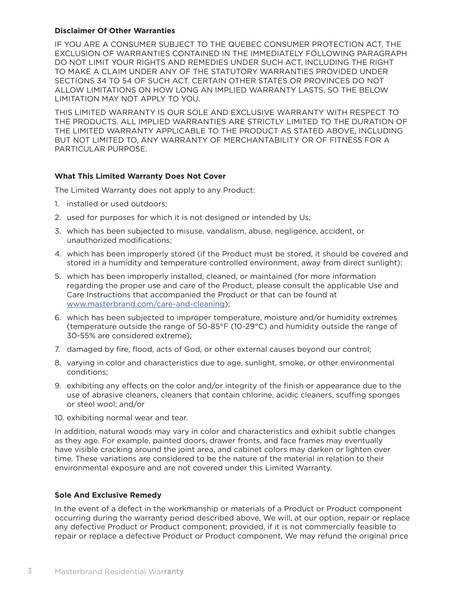#### **Disclaimer Of Other Warranties**

IF YOU ARE A CONSUMER SUBJECT TO THE QUEBEC CONSUMER PROTECTION ACT, THE EXCLUSION OF WARRANTIES CONTAINED IN THE IMMEDIATELY FOLLOWING PARAGRAPH DO NOT LIMIT YOUR RIGHTS AND REMEDIES UNDER SUCH ACT, INCLUDING THE RIGHT TO MAKE A CLAIM UNDER ANY OF THE STATUTORY WARRANTIES PROVIDED UNDER SECTIONS 34 TO 54 OF SUCH ACT. CERTAIN OTHER STATES OR PROVINCES DO NOT ALLOW LIMITATIONS ON HOW LONG AN IMPLIED WARRANTY LASTS, SO THE BELOW LIMITATION MAY NOT APPLY TO YOU.

THIS LIMITED WARRANTY IS OUR SOLE AND EXCLUSIVE WARRANTY WITH RESPECT TO THE PRODUCTS. ALL IMPLIED WARRANTIES ARE STRICTLY LIMITED TO THE DURATION OF THE LIMITED WARRANTY APPLICABLE TO THE PRODUCT AS STATED ABOVE, INCLUDING BUT NOT LIMITED TO, ANY WARRANTY OF MERCHANTABILITY OR OF FITNESS FOR A PARTICULAR PURPOSE.

#### **What This Limited Warranty Does Not Cover**

The Limited Warranty does not apply to any Product:

- 1. installed or used outdoors;
- 2. used for purposes for which it is not designed or intended by Us;
- 3. which has been subjected to misuse, vandalism, abuse, negligence, accident, or unauthorized modifications;
- 4. which has been improperly stored (if the Product must be stored, it should be covered and stored in a humidity and temperature controlled environment, away from direct sunlight);
- 5. which has been improperly installed, cleaned, or maintained (for more information regarding the proper use and care of the Product, please consult the applicable Use and Care Instructions that accompanied the Product or that can be found at www.masterbrand.com/care-and-cleaning);
- 6. which has been subjected to improper temperature, moisture and/or humidity extremes (temperature outside the range of 50-85°F (10-29°C) and humidity outside the range of 30-55% are considered extreme);
- 7. damaged by fire, flood, acts of God, or other external causes beyond our control;
- 8. varying in color and characteristics due to age, sunlight, smoke, or other environmental conditions;
- 9. exhibiting any effects on the color and/or integrity of the finish or appearance due to the use of abrasive cleaners, cleaners that contain chlorine, acidic cleaners, scuffing sponges or steel wool; and/or
- 10. exhibiting normal wear and tear.

In addition, natural woods may vary in color and characteristics and exhibit subtle changes as they age. For example, painted doors, drawer fronts, and face frames may eventually have visible cracking around the joint area, and cabinet colors may darken or lighten over time. These variations are considered to be the nature of the material in relation to their environmental exposure and are not covered under this Limited Warranty.

#### **Sole And Exclusive Remedy**

In the event of a defect in the workmanship or materials of a Product or Product component occurring during the warranty period described above, We will, at our option, repair or replace any defective Product or Product component; provided, if it is not commercially feasible to repair or replace a defective Product or Product component, We may refund the original price